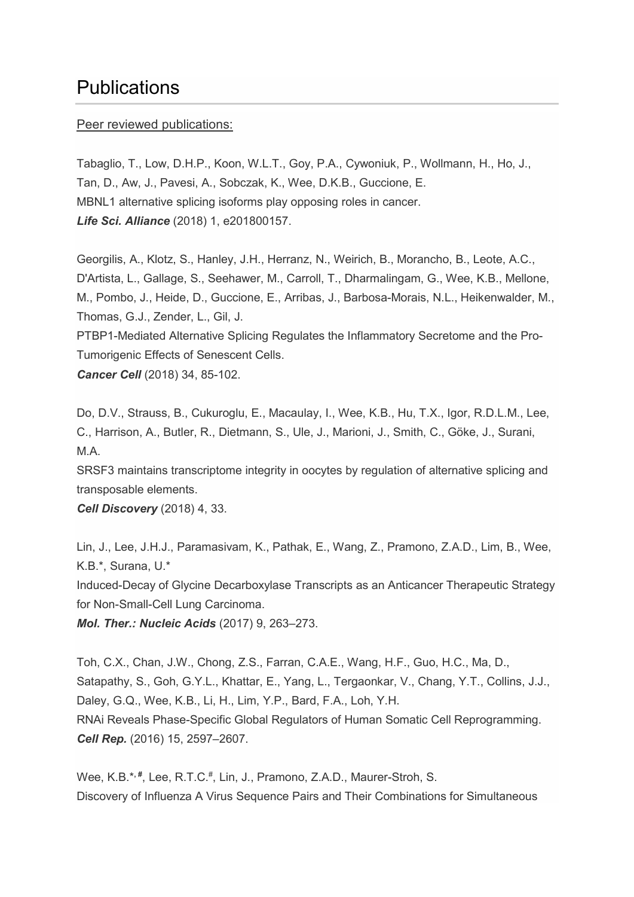# **Publications**

#### Peer reviewed publications:

Tabaglio, T., Low, D.H.P., Koon, W.L.T., Goy, P.A., Cywoniuk, P., Wollmann, H., Ho, J., Tan, D., Aw, J., Pavesi, A., Sobczak, K., Wee, D.K.B., Guccione, E. MBNL1 alternative splicing isoforms play opposing roles in cancer. *Life Sci. Alliance* (2018) 1, e201800157.

Georgilis, A., Klotz, S., Hanley, J.H., Herranz, N., Weirich, B., Morancho, B., Leote, A.C., D'Artista, L., Gallage, S., Seehawer, M., Carroll, T., Dharmalingam, G., Wee, K.B., Mellone, M., Pombo, J., Heide, D., Guccione, E., Arribas, J., Barbosa-Morais, N.L., Heikenwalder, M., Thomas, G.J., Zender, L., Gil, J.

PTBP1-Mediated Alternative Splicing Regulates the Inflammatory Secretome and the Pro-Tumorigenic Effects of Senescent Cells.

*Cancer Cell* (2018) 34, 85-102.

Do, D.V., Strauss, B., Cukuroglu, E., Macaulay, I., Wee, K.B., Hu, T.X., Igor, R.D.L.M., Lee, C., Harrison, A., Butler, R., Dietmann, S., Ule, J., Marioni, J., Smith, C., Göke, J., Surani, M.A.

SRSF3 maintains transcriptome integrity in oocytes by regulation of alternative splicing and transposable elements.

*Cell Discovery* (2018) 4, 33.

Lin, J., Lee, J.H.J., Paramasivam, K., Pathak, E., Wang, Z., Pramono, Z.A.D., Lim, B., Wee, K.B.\*, Surana, U.\*

Induced-Decay of Glycine Decarboxylase Transcripts as an Anticancer Therapeutic Strategy for Non-Small-Cell Lung Carcinoma.

*Mol. Ther.: Nucleic Acids* (2017) 9, 263–273.

Toh, C.X., Chan, J.W., Chong, Z.S., Farran, C.A.E., Wang, H.F., Guo, H.C., Ma, D., Satapathy, S., Goh, G.Y.L., Khattar, E., Yang, L., Tergaonkar, V., Chang, Y.T., Collins, J.J., Daley, G.Q., Wee, K.B., Li, H., Lim, Y.P., Bard, F.A., Loh, Y.H. RNAi Reveals Phase-Specific Global Regulators of Human Somatic Cell Reprogramming. *Cell Rep.* (2016) 15, 2597–2607.

Wee, K.B.\*<sup>,#</sup>, Lee, R.T.C.<sup>#</sup>, Lin, J., Pramono, Z.A.D., Maurer-Stroh, S. Discovery of Influenza A Virus Sequence Pairs and Their Combinations for Simultaneous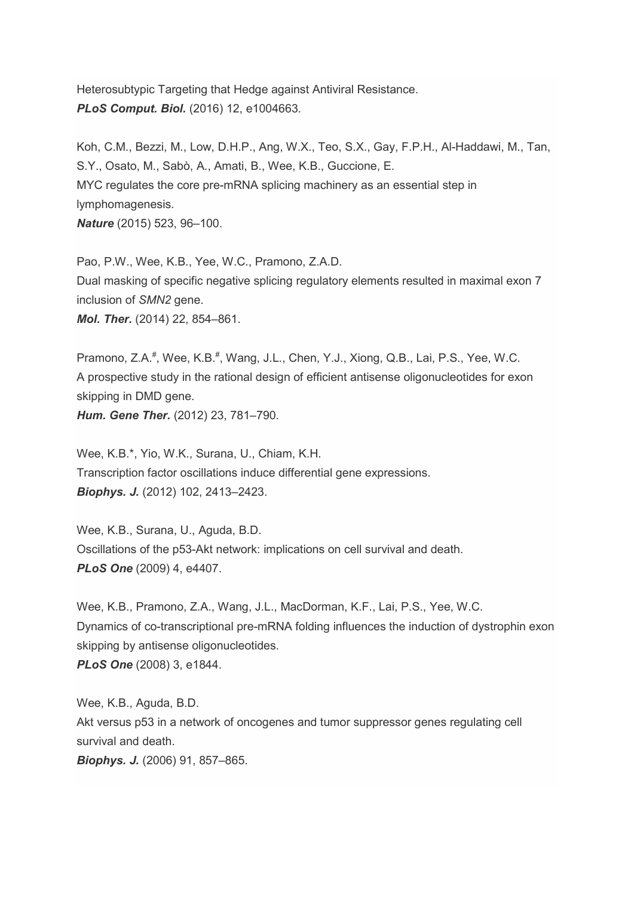Heterosubtypic Targeting that Hedge against Antiviral Resistance. *PLoS Comput. Biol.* (2016) 12, e1004663.

Koh, C.M., Bezzi, M., Low, D.H.P., Ang, W.X., Teo, S.X., Gay, F.P.H., Al-Haddawi, M., Tan, S.Y., Osato, M., Sabò, A., Amati, B., Wee, K.B., Guccione, E. MYC regulates the core pre-mRNA splicing machinery as an essential step in lymphomagenesis. *Nature* (2015) 523, 96–100.

Pao, P.W., Wee, K.B., Yee, W.C., Pramono, Z.A.D. Dual masking of specific negative splicing regulatory elements resulted in maximal exon 7 inclusion of *SMN2* gene. *Mol. Ther.* (2014) 22, 854–861.

Pramono, Z.A.<sup>#</sup>, Wee, K.B.<sup>#</sup>, Wang, J.L., Chen, Y.J., Xiong, Q.B., Lai, P.S., Yee, W.C. A prospective study in the rational design of efficient antisense oligonucleotides for exon skipping in DMD gene. *Hum. Gene Ther.* (2012) 23, 781–790.

Wee, K.B.\*, Yio, W.K., Surana, U., Chiam, K.H. Transcription factor oscillations induce differential gene expressions. *Biophys. J.* (2012) 102, 2413–2423.

Wee, K.B., Surana, U., Aguda, B.D. Oscillations of the p53-Akt network: implications on cell survival and death. *PLoS One* (2009) 4, e4407.

Wee, K.B., Pramono, Z.A., Wang, J.L., MacDorman, K.F., Lai, P.S., Yee, W.C. Dynamics of co-transcriptional pre-mRNA folding influences the induction of dystrophin exon skipping by antisense oligonucleotides. *PLoS One* (2008) 3, e1844.

Wee, K.B., Aguda, B.D. Akt versus p53 in a network of oncogenes and tumor suppressor genes regulating cell survival and death. *Biophys. J.* (2006) 91, 857–865.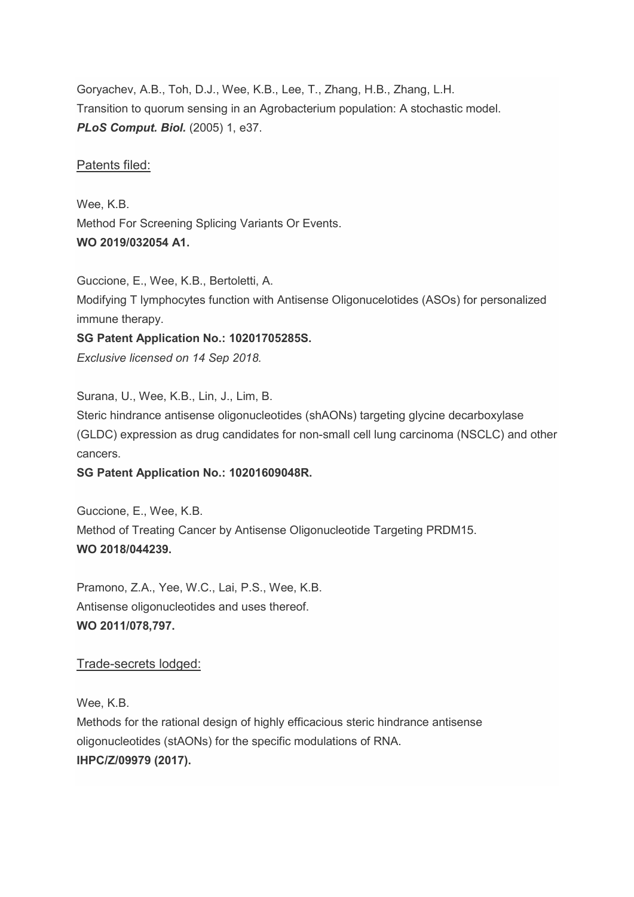Goryachev, A.B., Toh, D.J., Wee, K.B., Lee, T., Zhang, H.B., Zhang, L.H. Transition to quorum sensing in an Agrobacterium population: A stochastic model. *PLoS Comput. Biol.* (2005) 1, e37.

### Patents filed:

Wee, K.B. Method For Screening Splicing Variants Or Events. **WO 2019/032054 A1.**

Guccione, E., Wee, K.B., Bertoletti, A. Modifying T lymphocytes function with Antisense Oligonucelotides (ASOs) for personalized immune therapy.

**SG Patent Application No.: 10201705285S.** *Exclusive licensed on 14 Sep 2018.*

Surana, U., Wee, K.B., Lin, J., Lim, B.

Steric hindrance antisense oligonucleotides (shAONs) targeting glycine decarboxylase (GLDC) expression as drug candidates for non-small cell lung carcinoma (NSCLC) and other cancers.

# **SG Patent Application No.: 10201609048R.**

Guccione, E., Wee, K.B. Method of Treating Cancer by Antisense Oligonucleotide Targeting PRDM15. **WO 2018/044239.**

Pramono, Z.A., Yee, W.C., Lai, P.S., Wee, K.B. Antisense oligonucleotides and uses thereof. **WO 2011/078,797.**

# Trade-secrets lodged:

Wee, K.B.

Methods for the rational design of highly efficacious steric hindrance antisense oligonucleotides (stAONs) for the specific modulations of RNA. **IHPC/Z/09979 (2017).**